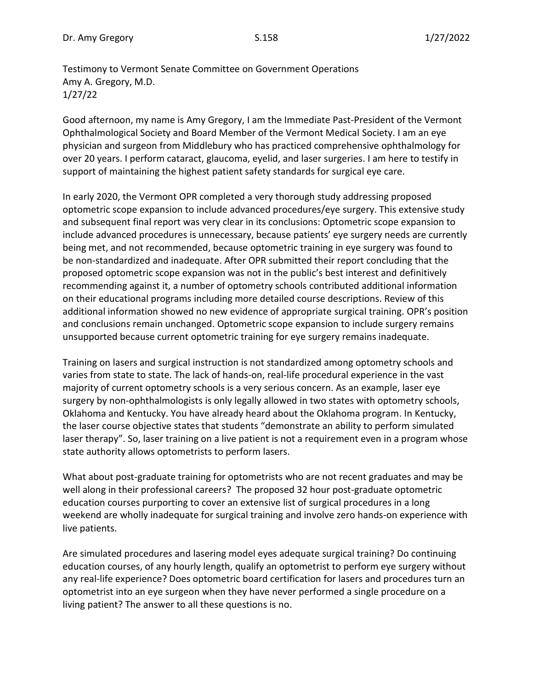Testimony to Vermont Senate Committee on Government Operations Amy A. Gregory, M.D. 1/27/22

Good afternoon, my name is Amy Gregory, I am the Immediate Past-President of the Vermont Ophthalmological Society and Board Member of the Vermont Medical Society. I am an eye physician and surgeon from Middlebury who has practiced comprehensive ophthalmology for over 20 years. I perform cataract, glaucoma, eyelid, and laser surgeries. I am here to testify in support of maintaining the highest patient safety standards for surgical eye care.

In early 2020, the Vermont OPR completed a very thorough study addressing proposed optometric scope expansion to include advanced procedures/eye surgery. This extensive study and subsequent final report was very clear in its conclusions: Optometric scope expansion to include advanced procedures is unnecessary, because patients' eye surgery needs are currently being met, and not recommended, because optometric training in eye surgery was found to be non-standardized and inadequate. After OPR submitted their report concluding that the proposed optometric scope expansion was not in the public's best interest and definitively recommending against it, a number of optometry schools contributed additional information on their educational programs including more detailed course descriptions. Review of this additional information showed no new evidence of appropriate surgical training. OPR's position and conclusions remain unchanged. Optometric scope expansion to include surgery remains unsupported because current optometric training for eye surgery remains inadequate.

Training on lasers and surgical instruction is not standardized among optometry schools and varies from state to state. The lack of hands-on, real-life procedural experience in the vast majority of current optometry schools is a very serious concern. As an example, laser eye surgery by non-ophthalmologists is only legally allowed in two states with optometry schools, Oklahoma and Kentucky. You have already heard about the Oklahoma program. In Kentucky, the laser course objective states that students "demonstrate an ability to perform simulated laser therapy". So, laser training on a live patient is not a requirement even in a program whose state authority allows optometrists to perform lasers.

What about post-graduate training for optometrists who are not recent graduates and may be well along in their professional careers? The proposed 32 hour post-graduate optometric education courses purporting to cover an extensive list of surgical procedures in a long weekend are wholly inadequate for surgical training and involve zero hands-on experience with live patients.

Are simulated procedures and lasering model eyes adequate surgical training? Do continuing education courses, of any hourly length, qualify an optometrist to perform eye surgery without any real-life experience? Does optometric board certification for lasers and procedures turn an optometrist into an eye surgeon when they have never performed a single procedure on a living patient? The answer to all these questions is no.